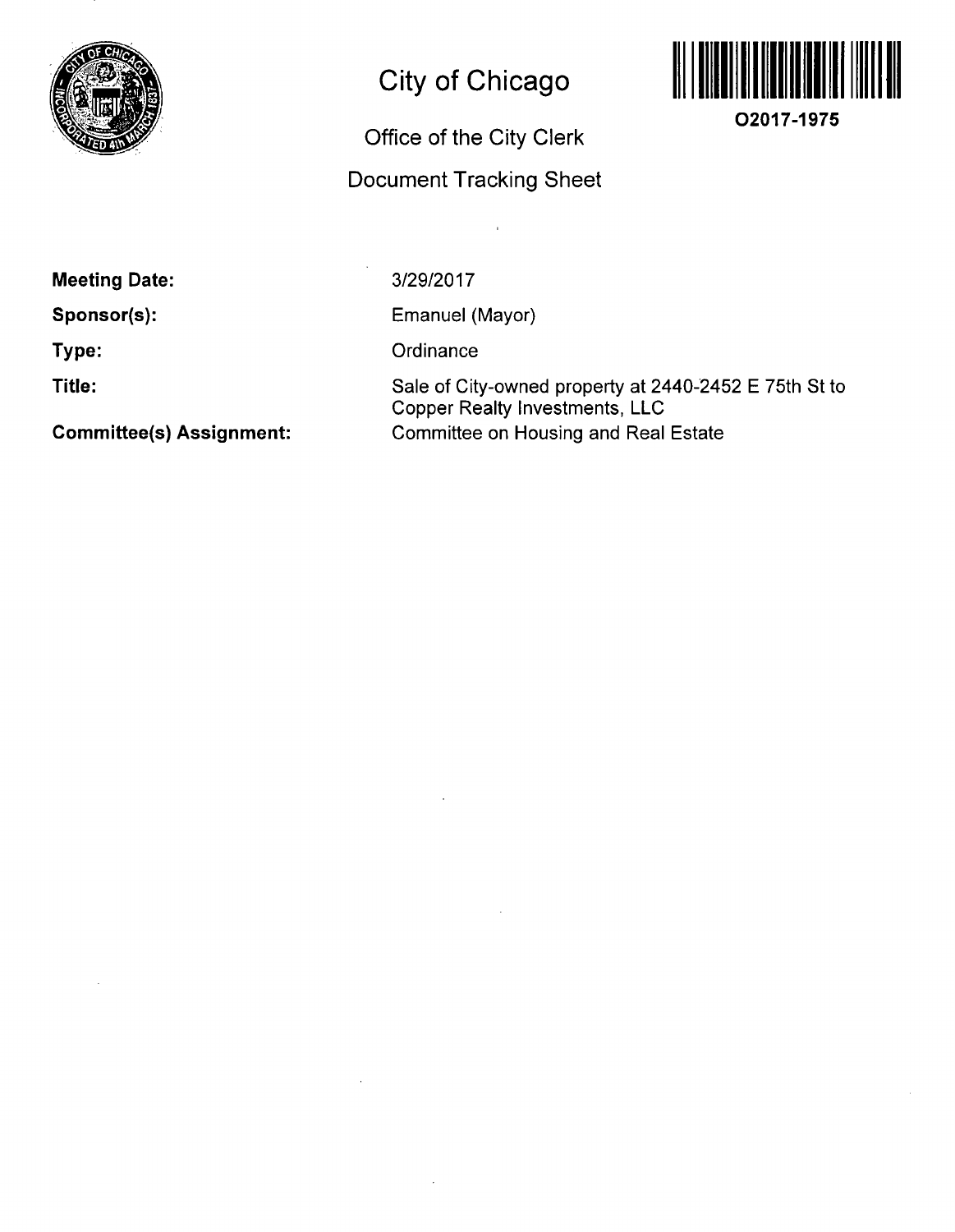

# **City of Chicago**

# **Office of the City Clerk**

# **Document Tracking Sheet**



**O2017-1975** 

**Meeting Date:** 

**Sponsor(s):** 

**Type:** 

**Title:** 

3/29/2017

Emanuel (Mayor)

**Ordinance** 

Sale of City-owned property at 2440-2452 E 75th St to Copper Realty Investments, LLC Committee on Housing and Real Estate

**Committee(s) Assignment:**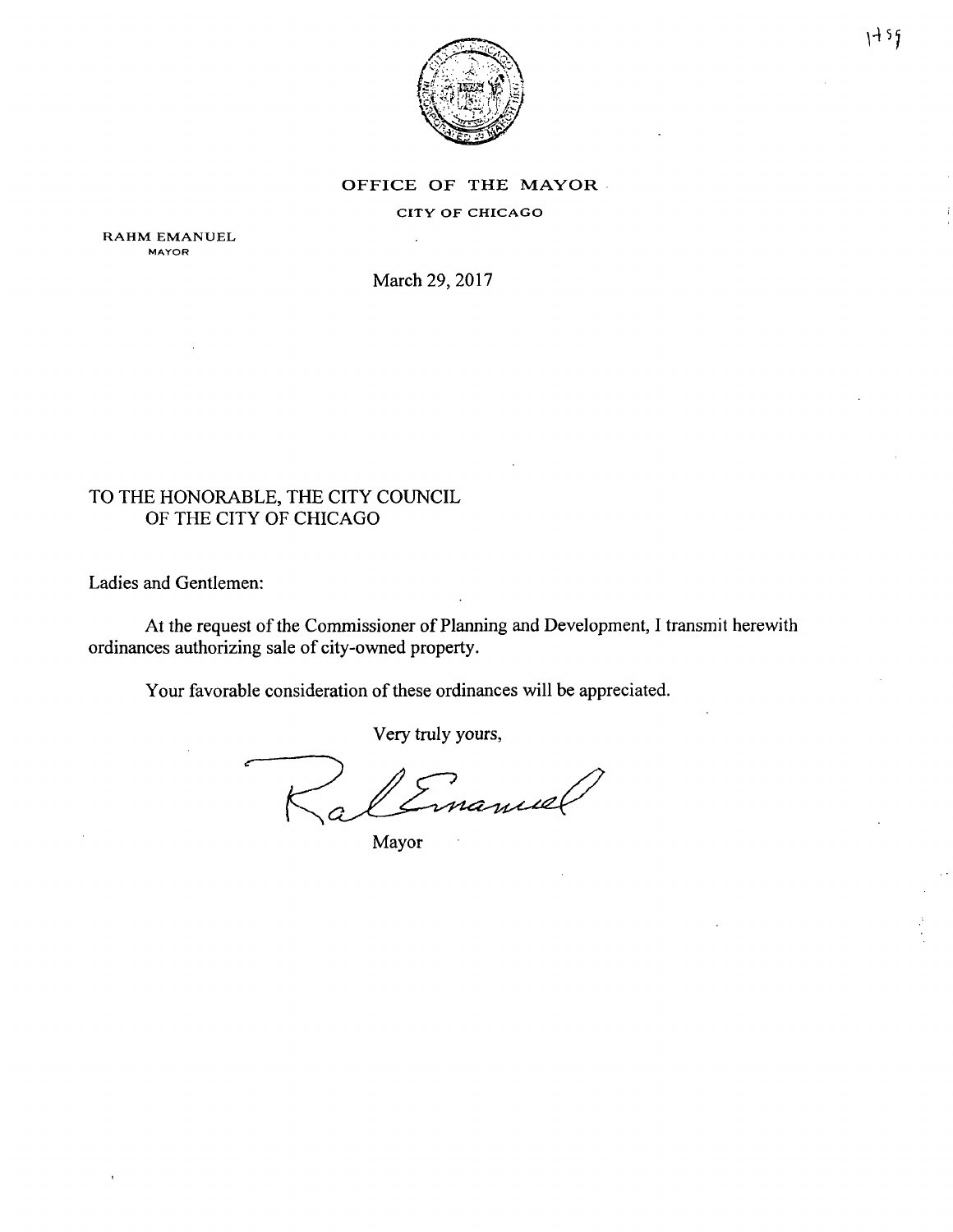

#### OFFICE OF THE MAYOR

CITY OF CHICAGO

RAHM EMANUEL MAYOR

March 29, 2017

# TO THE HONORABLE, THE CITY COUNCIL OF THE CITY OF CHICAGO

Ladies and Gentlemen:

At the request of the Commissioner of Planning and Development, I transmit herewith ordinances authorizing sale of city-owned property.

Your favorable consideration of these ordinances will be appreciated.

Very truly yours,

manuel

Mayor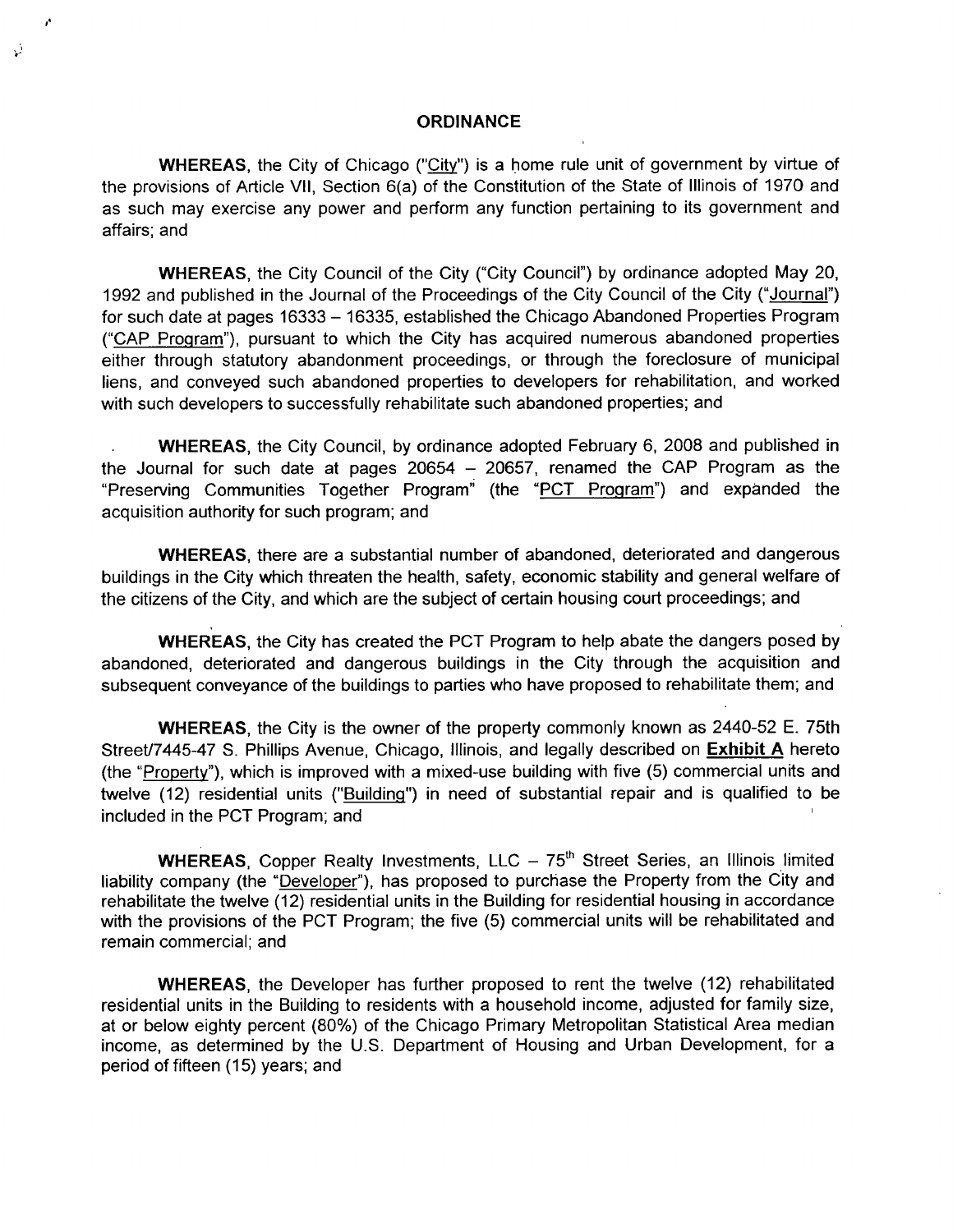#### **ORDINANCE**

r,

WHEREAS, the City of Chicago ("City") is a home rule unit of government by virtue of the provisions of Article VII, Section 6(a) of the Constitution of the State of Illinois of 1970 and as such may exercise any power and perform any function pertaining to its government and affairs; and

WHEREAS, the City Council of the City ("City Council") by ordinance adopted May 20, 1992 and published in the Journal of the Proceedings of the City Council of the City ("Journal") for such date at pages 16333 - 16335, established the Chicago Abandoned Properties Program ("CAP Program"), pursuant to which the City has acquired numerous abandoned properties either through statutory abandonment proceedings, or through the foreclosure of municipal liens, and conveyed such abandoned properties to developers for rehabilitation, and worked with such developers to successfully rehabilitate such abandoned properties; and

WHEREAS, the City Council, by ordinance adopted February 6, 2008 and published in the Journal for such date at pages  $20654 - 20657$ , renamed the CAP Program as the "Preserving Communities Together Program" (the "PCT Program") and expanded the acquisition authority for such program; and

WHEREAS, there are a substantial number of abandoned, deteriorated and dangerous buildings in the City which threaten the health, safety, economic stability and general welfare of the citizens of the City, and which are the subject of certain housing court proceedings; and

WHEREAS, the City has created the PCT Program to help abate the dangers posed by abandoned, deteriorated and dangerous buildings in the City through the acquisition and subsequent conveyance ofthe buildings to parties who have proposed to rehabilitate them; and

WHEREAS, the City is the owner of the property commonly known as 2440-52 E. 75th Street/7445-47 S. Phillips Avenue, Chicago, Illinois, and legally described on Exhibit A hereto (the "Propertv"). which is improved with a mixed-use building with five (5) commercial units and twelve (12) residential units ("Building") in need of substantial repair and is qualified to be included in the PCT Program; and '

WHEREAS, Copper Realty Investments, LLC  $-75<sup>th</sup>$  Street Series, an Illinois limited liability company (the "Developer"), has proposed to purchase the Property from the City and rehabilitate the twelve (12) residential units in the Building for residential housing in accordance with the provisions of the PCT Program; the five (5) commercial units will be rehabilitated and remain commercial; and

WHEREAS, the Developer has further proposed to rent the twelve (12) rehabilitated residential units in the Building to residents with a household income, adjusted for family size, at or below eighty percent (80%) of the Chicago Primary Metropolitan Statistical Area median income, as determined by the U.S. Department of Housing and Urban Development, for a period of fifteen (15) years; and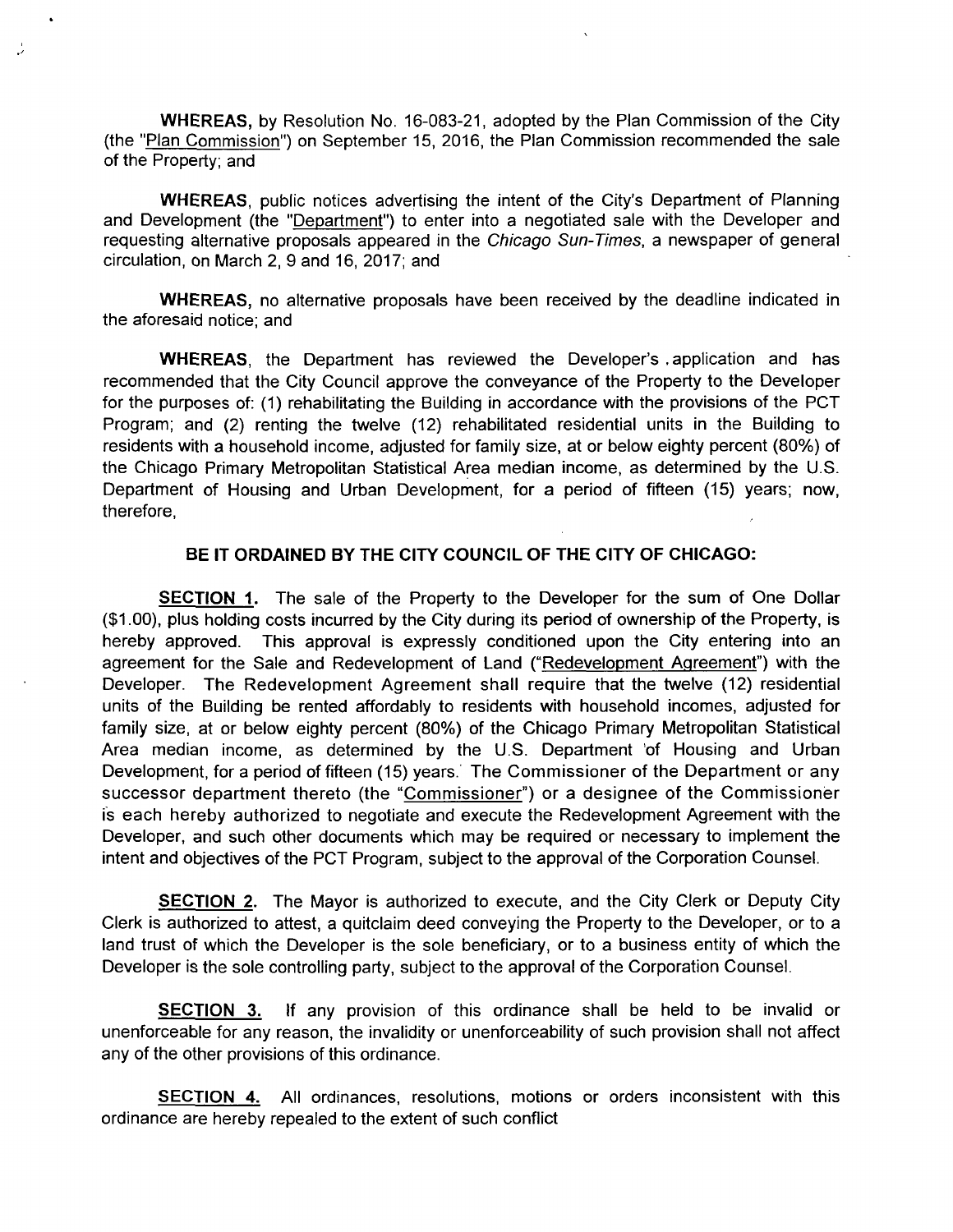WHEREAS, by Resolution No. 16-083-21, adopted by the Plan Commission of the City (the "Plan Commission") on September 15, 2016, the Plan Commission recommended the sale of the Property; and

WHEREAS, public notices advertising the intent of the City's Department of Planning and Development (the "Department") to enter into a negotiated sale with the Developer and requesting alternative proposals appeared in the Chicago Sun-Times, a newspaper of general circulation, on March 2, 9 and 16, 2017; and

WHEREAS, no alternative proposals have been received by the deadline indicated in the aforesaid notice; and

WHEREAS, the Department has reviewed the Developer's .application and has recommended that the City Council approve the conveyance of the Property to the Developer for the purposes of: (1) rehabilitating the Building in accordance with the provisions of the PCT Program; and (2) renting the twelve (12) rehabilitated residential units in the Building to residents with a household income, adjusted for family size, at or below eighty percent (80%) of the Chicago Primary Metropolitan Statistical Area median income, as determined by the U.S. Department of Housing and Urban Development, for a period of fifteen (15) years; now, therefore,

#### **BE IT ORDAINED BY THE CITY COUNCIL OF THE CITY OF CHICAGO:**

SECTION 1. The sale of the Property to the Developer for the sum of One Dollar (\$1.00), plus holding costs incurred by the City dunng its period of ownership of the Property, is hereby approved. This approval is expressly conditioned upon the City entering into an agreement for the Sale and Redevelopment of Land ("Redevelopment Agreement") with the Developer. The Redevelopment Agreement shall require that the twelve (12) residential units of the Building be rented affordably to residents with household incomes, adjusted for family size, at or below eighty percent (80%) of the Chicago Primary Metropolitan Statistical Area median income, as determined by the U.S. Department of Housing and Urban Development, for a period of fifteen (15) years. The Commissioner of the Department or any successor department thereto (the "Commissioner") or a designee of the Commissioner is each hereby authorized to negotiate and execute the Redevelopment Agreement with the Developer, and such other documents which may be required or necessary to implement the intent and objectives of the PCT Program, subject to the approval of the Corporation Counsel.

**SECTION 2.** The Mayor is authorized to execute, and the City Clerk or Deputy City Clerk is authorized to attest, a quitclaim deed conveying the Property to the Developer, or to a land trust of which the Developer is the sole beneficiary, or to a business entity of which the Developer is the sole controlling party, subject to the approval of the Corporation Counsel.

**SECTION 3.** If any provision of this ordinance shall be held to be invalid or unenforceable for any reason, the invalidity or unenforceability of such provision shall not affect any of the other provisions of this ordinance.

SECTION 4. All ordinances, resolutions, motions or orders inconsistent with this ordinance are hereby repealed to the extent of such conflict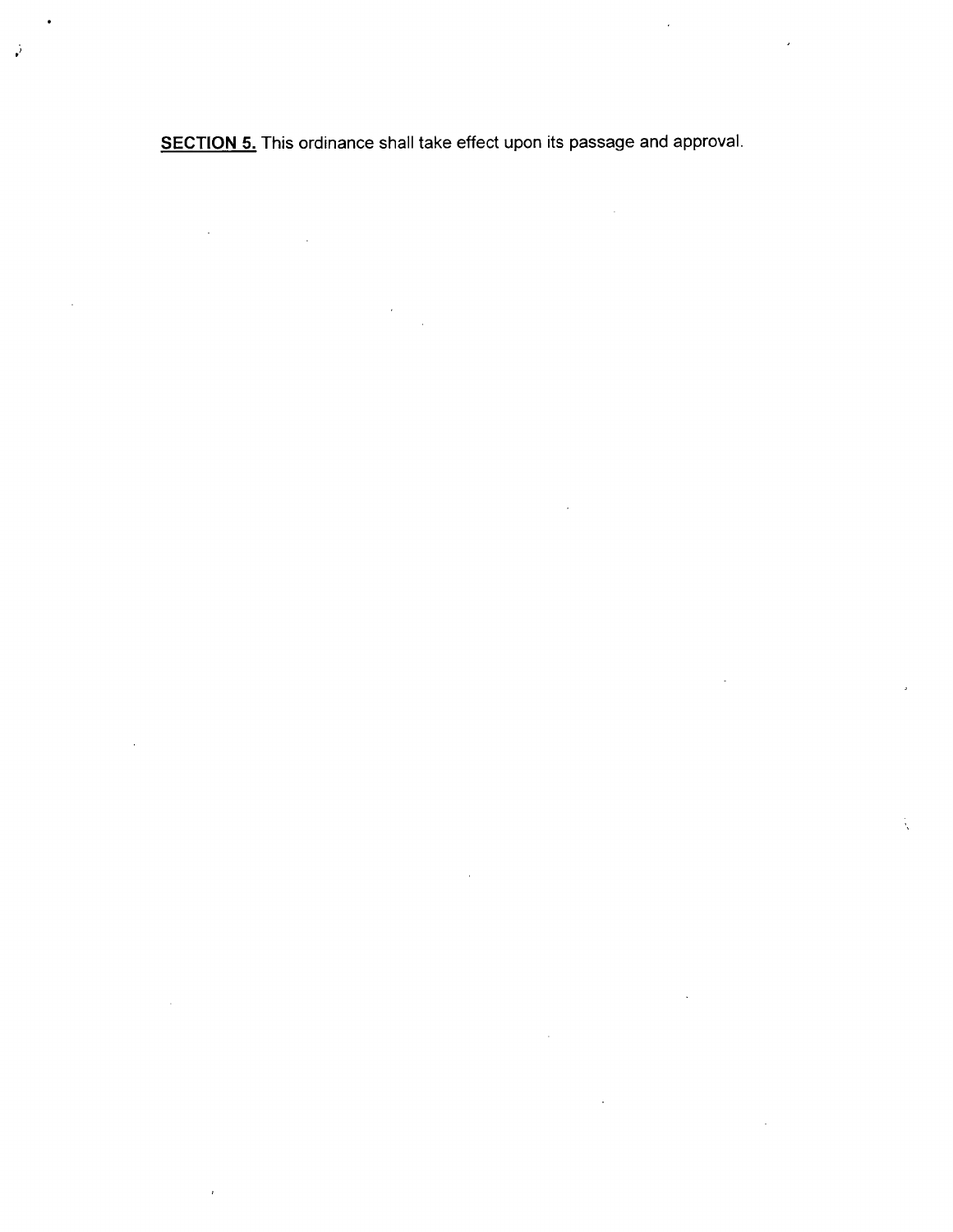**SECTION 5.** This ordinance shall take effect upon its passage and approval.

 $\hat{\mathcal{A}}$ 

 $\sim$ 

ż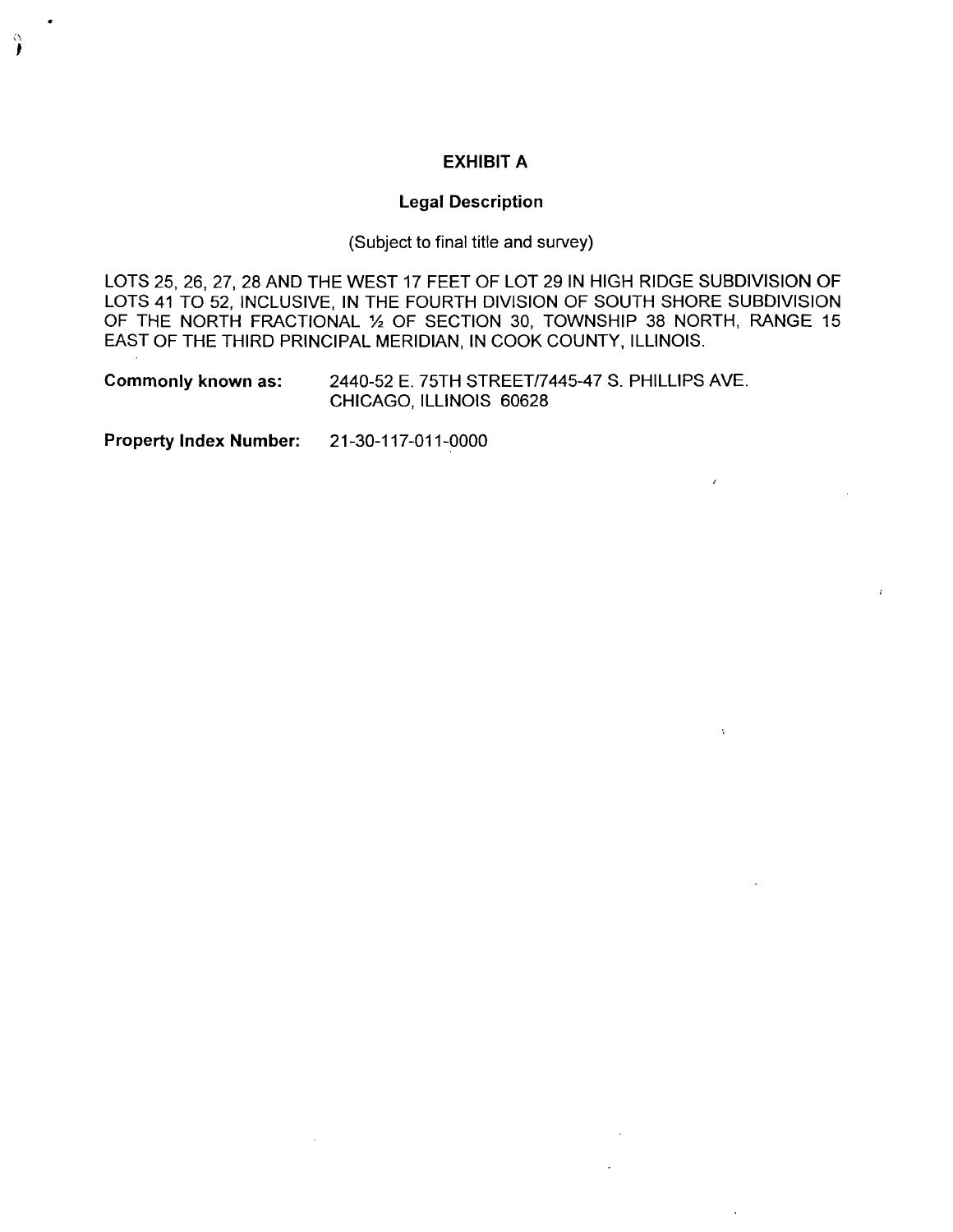# **EXHIBIT A**

#### **Legal Description**

(Subject to final titie and survey)

LOTS 25, 26, 27, 28 AND THE WEST 17 FEET OF LOT 29 IN HIGH RIDGE SUBDIVISION OF LOTS 41 TO 52, INCLUSIVE, IN THE FOURTH DIVISION OF SOUTH SHORE SUBDIVISION OF THE NORTH FRACTIONAL 1/2 OF SECTION 30, TOWNSHIP 38 NORTH, RANGE 15 EAST OF THE THIRD PRINCIPAL MERIDIAN, IN COOK COUNTY, ILLINOIS.

Commonly known as: 2440-52 E. 75TH STREET/7445-47 S. PHILLIPS AVE. CHICAGO, ILLINOIS 60628

Property Index Number: 21-30-117-011-0000

ှဲ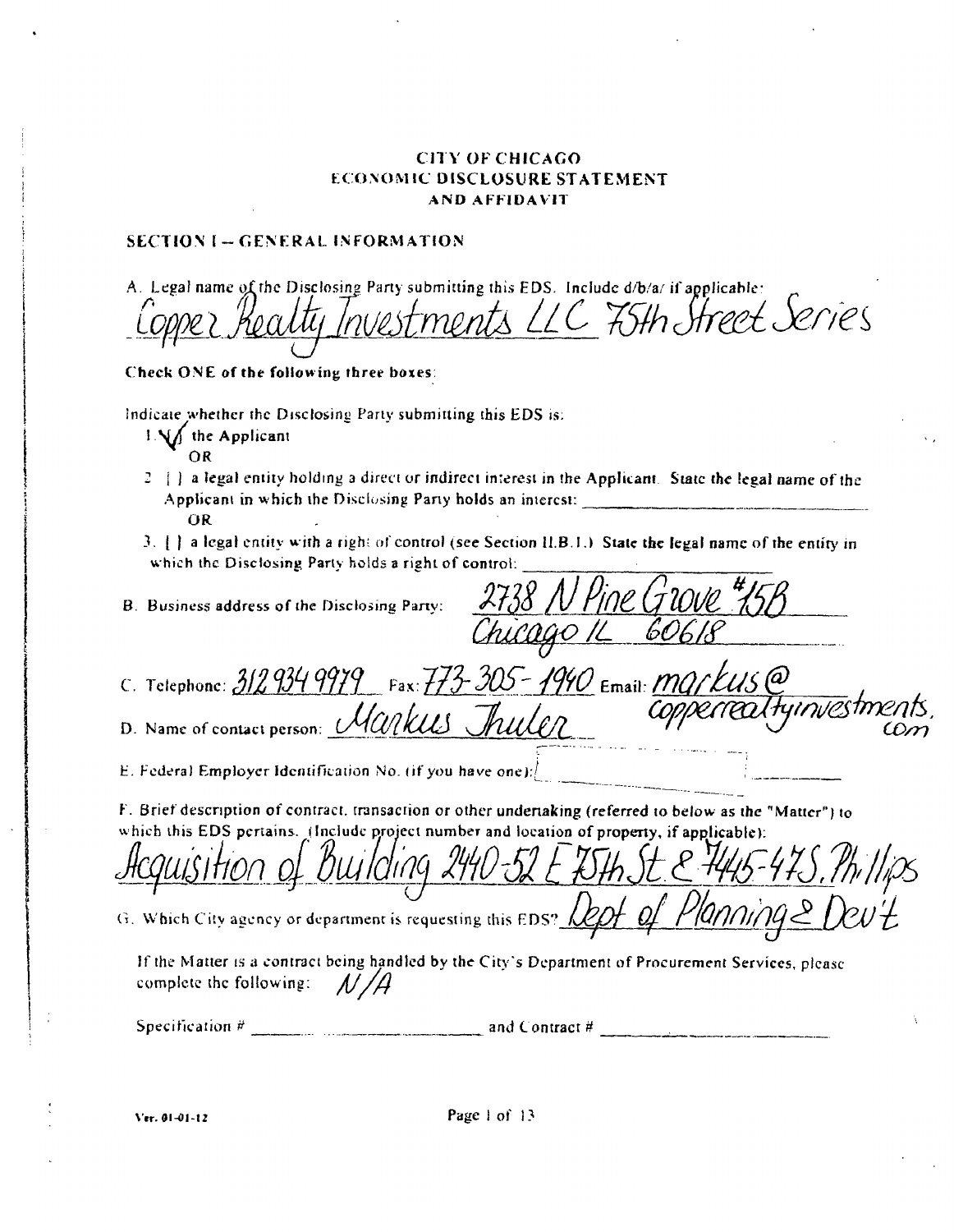# **CITY OF CHICAGO** ECONOMIC DISCLOSURE STATEMENT AND AFFIDAVIT

# **SECTION I - GENERAL INFORMATION**

| A. Legal name of the Disclosing Party submitting this EDS. Include d/b/a/ if applicable:<br>Copper Realty Investments LLC 75th Street Series                                                            |
|---------------------------------------------------------------------------------------------------------------------------------------------------------------------------------------------------------|
| Check ONE of the following three boxes:                                                                                                                                                                 |
| Indicate whether the Disclosing Party submitting this EDS is:<br>$\lfloor \sqrt{\frac{1}{2}} \rfloor$ the Applicant<br>OR.                                                                              |
| 2 [ ] a legal entity holding a direct or indirect interest in the Applicant. State the legal name of the<br><b>OR</b>                                                                                   |
| 3. [ ] a legal entity with a right of control (see Section II.B.1.) State the legal name of the entity in<br>which the Disclosing Party holds a right of control:                                       |
| 2738 N Pine Grove 45B<br>B. Business address of the Disclosing Party:<br>Cago IL 60618                                                                                                                  |
|                                                                                                                                                                                                         |
| C. Telephone: $3129349979$ Fax: $773-305-1990$ Email: <i>mg/kus@</i>                                                                                                                                    |
| eneatiyinvestm<br>D. Name of contact person: <i>Markus</i> Julen                                                                                                                                        |
| E. Federal Employer Identification No. (if you have one): $\int$                                                                                                                                        |
| F. Brief description of contract, transaction or other underiaking (referred to below as the "Matter") to<br>which this EDS pertains. (Include project number and location of property, if applicable): |
| <u>puisition of Building 240-52 E ISTA St &amp; 7445-47S. Phillips</u>                                                                                                                                  |
| G. Which City agency or department is requesting this EDS? Lept of Planning & Dev't                                                                                                                     |
| If the Matter is a contract being handled by the City's Department of Procurement Services, please<br>complete the following: $\sqrt{1/4}$                                                              |
| Specification $\#$ and Contract $\#$                                                                                                                                                                    |
|                                                                                                                                                                                                         |

Ver. 01-01-12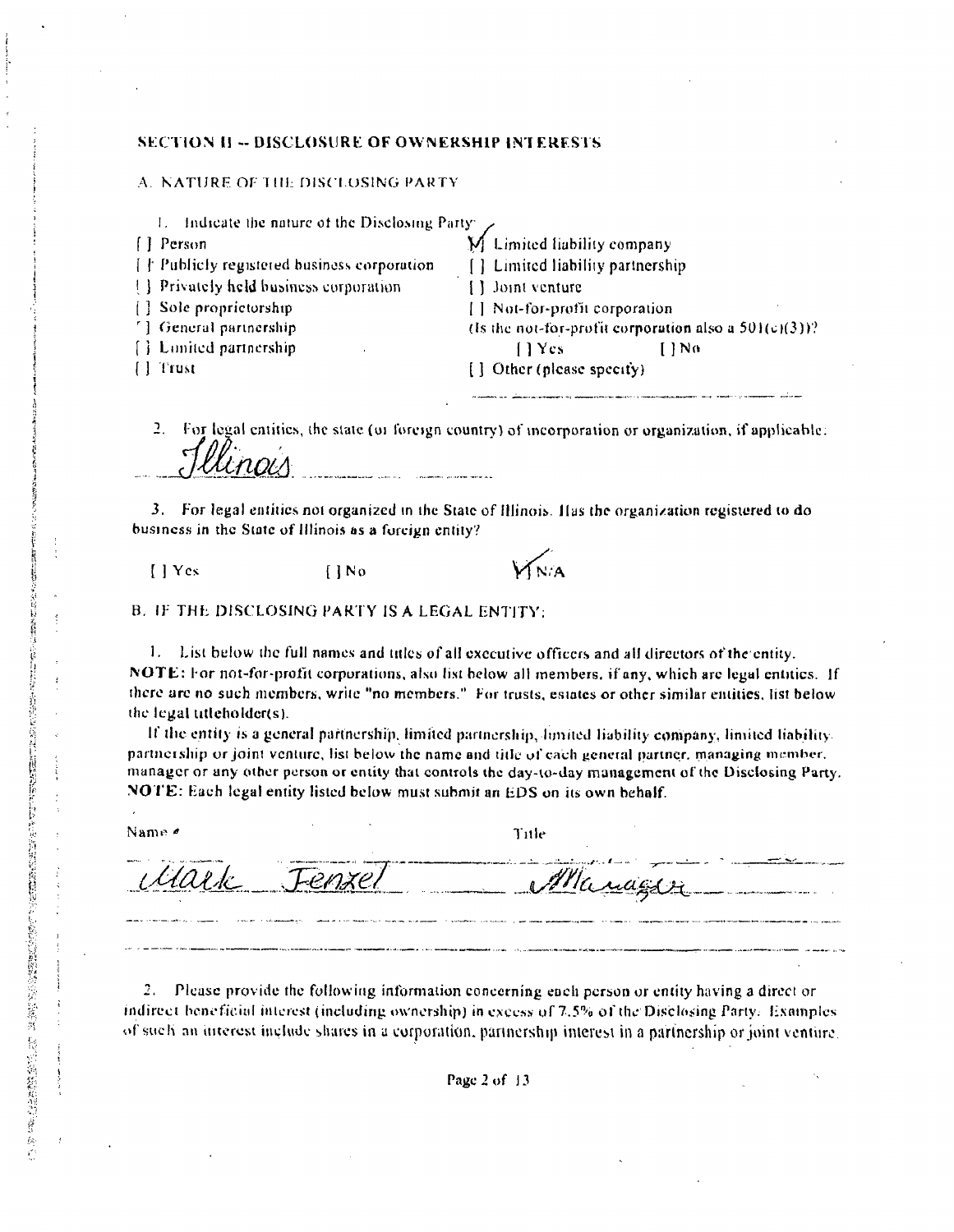#### **SECTION II -- DISCLOSURE OF OWNERSHIP INTERESTS**

#### A. NATURE OF THE DISCLOSING PARTY

| Indicate the nature of the Disclosing Party: $\sqrt{ }$ |                                                                                                                         |
|---------------------------------------------------------|-------------------------------------------------------------------------------------------------------------------------|
| $[]$ Person                                             | M Limited liability company                                                                                             |
| $\{\nmid\}$ Publicly registered business corporation    | [ ] Limited liability partnership                                                                                       |
| [ ] Privately held business corporation                 | $[ ]$ Joint venture                                                                                                     |
| [] Sole proprietorship                                  | [] Not-for-profit corporation                                                                                           |
| [1] General partnership                                 | (Is the not-for-profit corporation also a $501(c)(3)$ )?                                                                |
| [ ] Limited partnership                                 | 11Ycs<br>$1$ No                                                                                                         |
| I l'Itust                                               | [] Other (please specity)                                                                                               |
|                                                         | As consider the company of the company and the second section of the company of the second second company of the second |

2. For legal entities, the state (or foreign country) of incorporation or organization, if applicable:

3. For legal entities not organized in the State of Illinois. Has the organization registered to do business in the State of Illinois as a foreign entity?

 $[$  | Yes

XNA

**B. IF THE DISCLOSING PARTY IS A LEGAL ENTITY:** 

 $\prod N_0$ 

1. List below the full names and titles of all executive officers and all directors of the entity. NOTE: For not-for-profit corporations, also list below all members, if any, which are legal entities. If there are no such members, write "no members." For trusts, estates or other similar entities, list below the legal titleholder(s).

If the entity is a general partnership, limited partnership, lumited liability company, limited liability. partnership or joint venture, list below the name and title of each general partner, managing member. manager or any other person or entity that controls the day-to-day management of the Disclosing Party. NOTE: Each legal entity listed below must submit an EDS on its own behalf.

Name #

SPACE SPACE SPACE SPACE SPACE SPACE SPACE SPACE SPACE SPACE SPACE SPACE SPACE SPACE SPACE SPACE SPACE SPACE SPACE SPACE SPACE SPACE SPACE SPACE SPACE SPACE SPACE SPACE SPACE SPACE SPACE SPACE SPACE SPACE SPACE SPACE SPACE

Title

Manager

 $2.1$ Please provide the following information concerning each person or entity having a direct or indirect beneficial interest (including ownership) in excess of 7.5% of the Disclosing Party. Examples of such an interest include shares in a corporation, partnership interest in a partnership or joint venture.

Page  $2$  of  $13$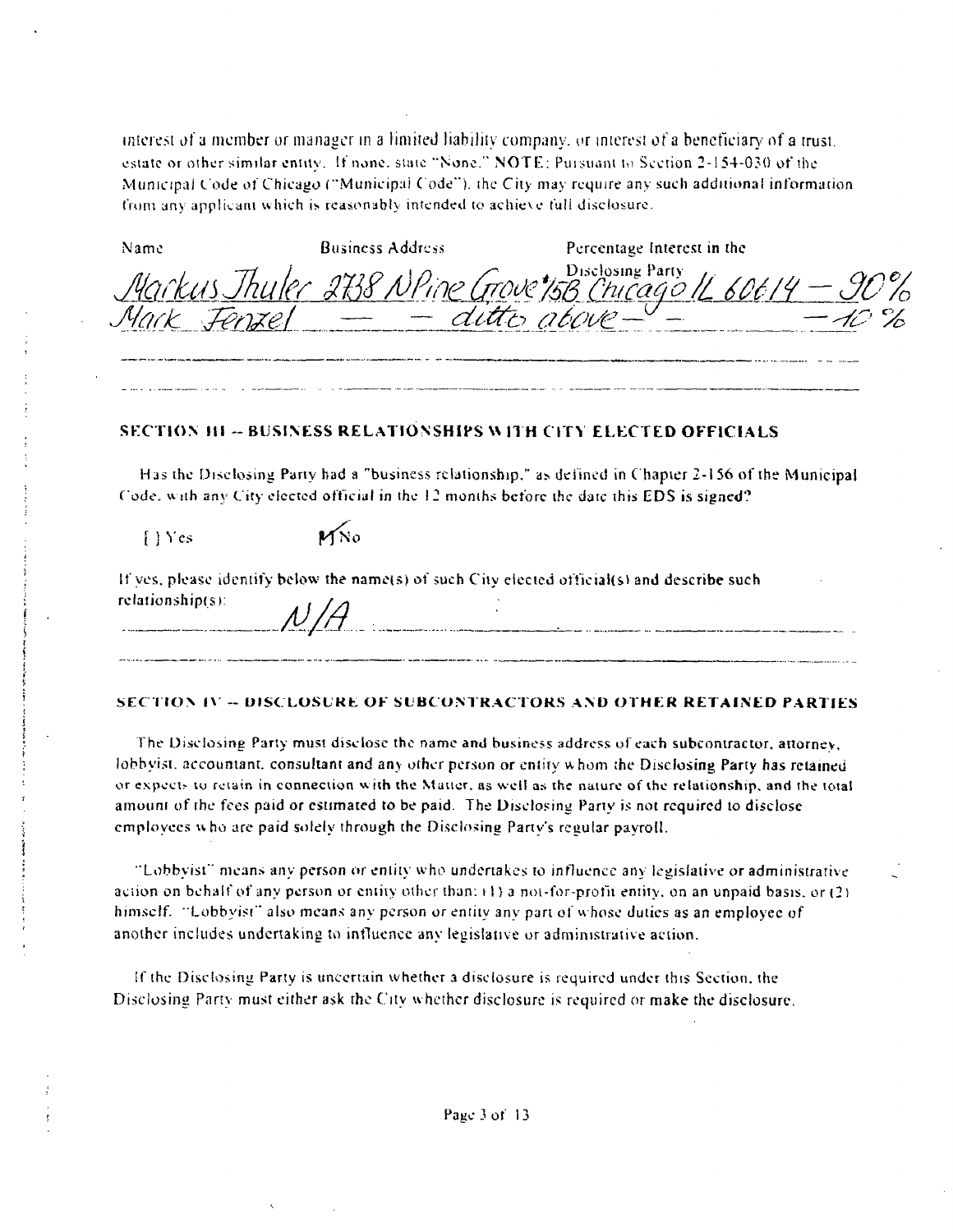interest of a member or manager in a limited liability company, or interest of a beneficiary of a trust. estate or other similar entity. If none, state "None," NOTE: Pursuant to Section 2-154-030 of the Municipal Code of Chicago ("Municipal Code"), the City may require any such additional information from any applicant which is reasonably intended to achieve full disclosure.

| Name | Business Address | Percentage Interest in the                                |
|------|------------------|-----------------------------------------------------------|
|      | ditto above-     | Markus Thuler 2738 NPine Grove 15B Chicago 11 60614 - 90% |
|      |                  |                                                           |

#### **SECTION HI-BUSINESS RELATIONSHIPS WITH CITY ELECTED OFFICIALS**

Has the Disclosing Party had a "business relationship," as defined in Chapter 2-156 of the Municipal Code, with any City elected official in the 12 months before the date this EDS is signed?

 $[$   $\sqrt{$   $\sqrt{$   $\sqrt{}}$   $\sqrt{$   $\sqrt{}}$   $\sqrt{}$   $\sqrt{}$   $\sqrt{}$   $\sqrt{}$   $\sqrt{}$   $\sqrt{}$   $\sqrt{}$   $\sqrt{}$   $\sqrt{}$   $\sqrt{}$   $\sqrt{}$   $\sqrt{}$   $\sqrt{}$   $\sqrt{}$   $\sqrt{}$   $\sqrt{}$   $\sqrt{}$   $\sqrt{}$   $\sqrt{}$   $\sqrt{}$   $\sqrt{}$   $\sqrt{}$   $\sqrt{}$   $\sqrt{}$   $\sqrt{}$   $\sqrt{}$   $\sqrt$ 

 $MN<sub>0</sub>$ 

If yes, please identify below the name(s) of such City elected official(s) and describe such relationship(s):  $N/A$ 

#### SECTION IV -- DISCLOSURE OF SUBCONTRACTORS AND OTHER RETAINED PARTIES

The Disclosing Party must disclose the name and business address of each subcontractor, attorney, lobbyist, accountant, consultant and any other person or entity whom the Disclosing Party has retained or expects to retain in connection with the Matter, as well as the nature of the relationship, and the total amount of the fees paid or estimated to be paid. The Disclosing Party is not required to disclose employees who are paid solely through the Disclosing Party's regular payroll.

"Lobbyist" means any person or entity who undertakes to influence any legislative or administrative action on behalf of any person or entity other than: (1) a not-for-profit entity, on an unpaid basis, or (2) himself. "Lobbyist" also means any person or entity any part of whose duties as an employee of another includes undertaking to influence any legislative or administrative action.

If the Disclosing Party is uncertain whether a disclosure is required under this Section, the Disclosing Party must either ask the City whether disclosure is required or make the disclosure.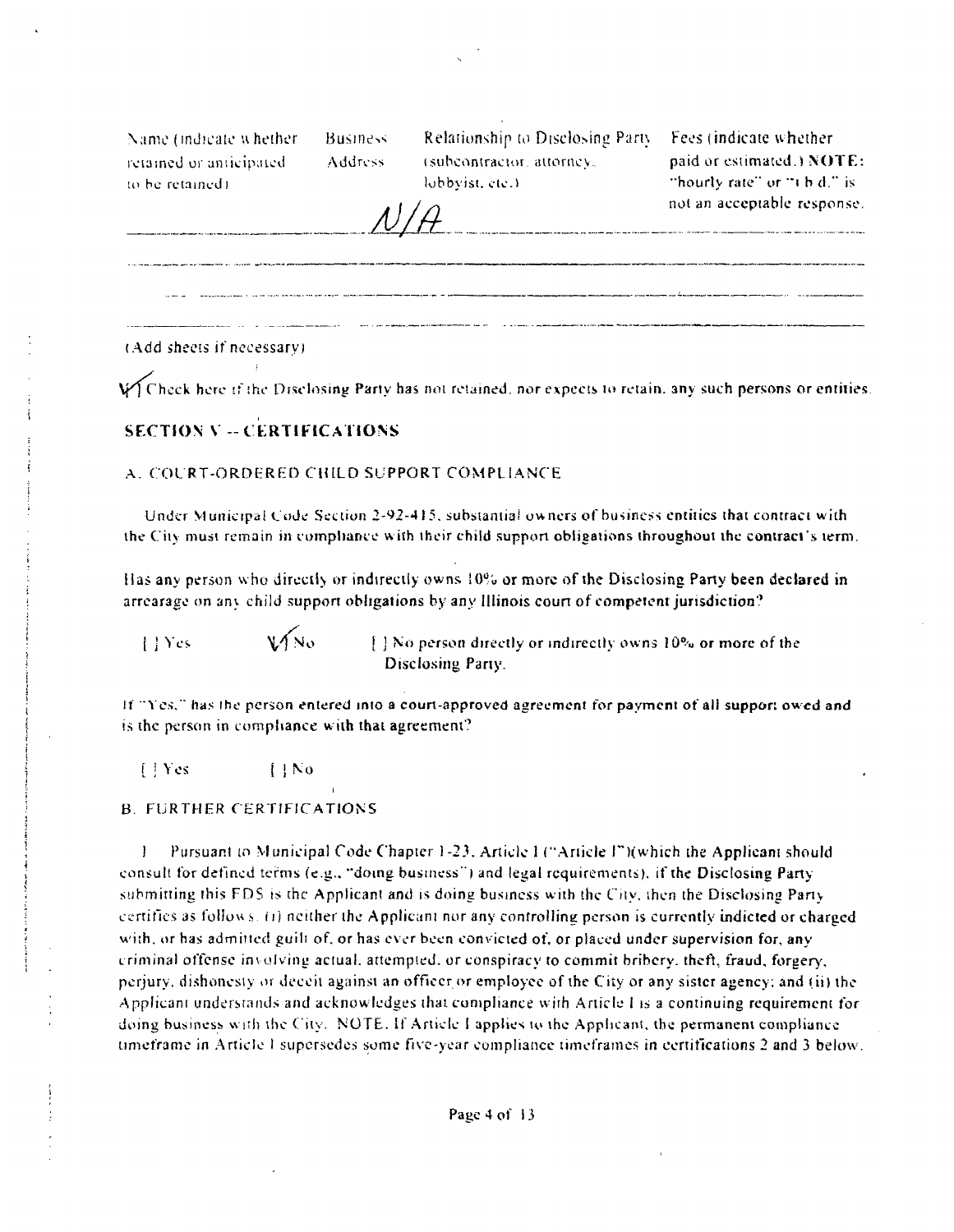Name (indicate whether) retained or anticipated. to be retained)

**Business** Address.

Relationship to Disclosing Party Fees (indicate whether (subcontractor, attorney, lobbyist, etc.)

paid or estimated.) NOTE: "hourly rate" or "t b d." is not an acceptable response. 

(Add sheets if necessary)

Witheck here if the Disclosing Party has not retained, nor expects to retain, any such persons or entities.

# **SECTION V -- CERTIFICATIONS**

 $V/N_0$ 

#### A. COURT-ORDERED CHILD SUPPORT COMPLIANCE

Under Municipal Code Section 2-92-415, substantial owners of business entities that contract with the City must remain in compliance with their child support obligations throughout the contract's term.

Has any person who directly or indirectly owns 10% or more of the Disclosing Party been declared in arrearage on any child support obligations by any Illinois court of competent jurisdiction?

 $|$  | Yes

[1] No person directly or indirectly owns 10% or more of the Disclosing Party

If "Yes," has the person entered into a court-approved agreement for payment of all suppor; owed and is the person in compliance with that agreement?

[ | Yes  $11N<sub>0</sub>$ 

#### **B. FURTHER CERTIFICATIONS**

Pursuant to Municipal Code Chapter 1-23, Article 1 ("Article I")(which the Applicant should consult for defined terms (e.g., "doing business") and legal requirements), if the Disclosing Party submitting this FDS is the Applicant and is doing business with the City, then the Disclosing Party certifies as follows. (i) neither the Applicant nor any controlling person is currently indicted or charged with, or has admitted guilt of, or has ever been convicted of, or placed under supervision for, any criminal offense involving actual, attempted, or conspiracy to commit bribery, theft, fraud, forgery, perjury, dishonesty or deceit against an officer or employee of the City or any sister agency; and (ii) the Applicant understands and acknowledges that compliance with Article I is a continuing requirement for doing business with the City. NOTE. If Article I applies to the Applicant, the permanent compliance timeframe in Article I supersedes some five-year compliance timeframes in certifications 2 and 3 below.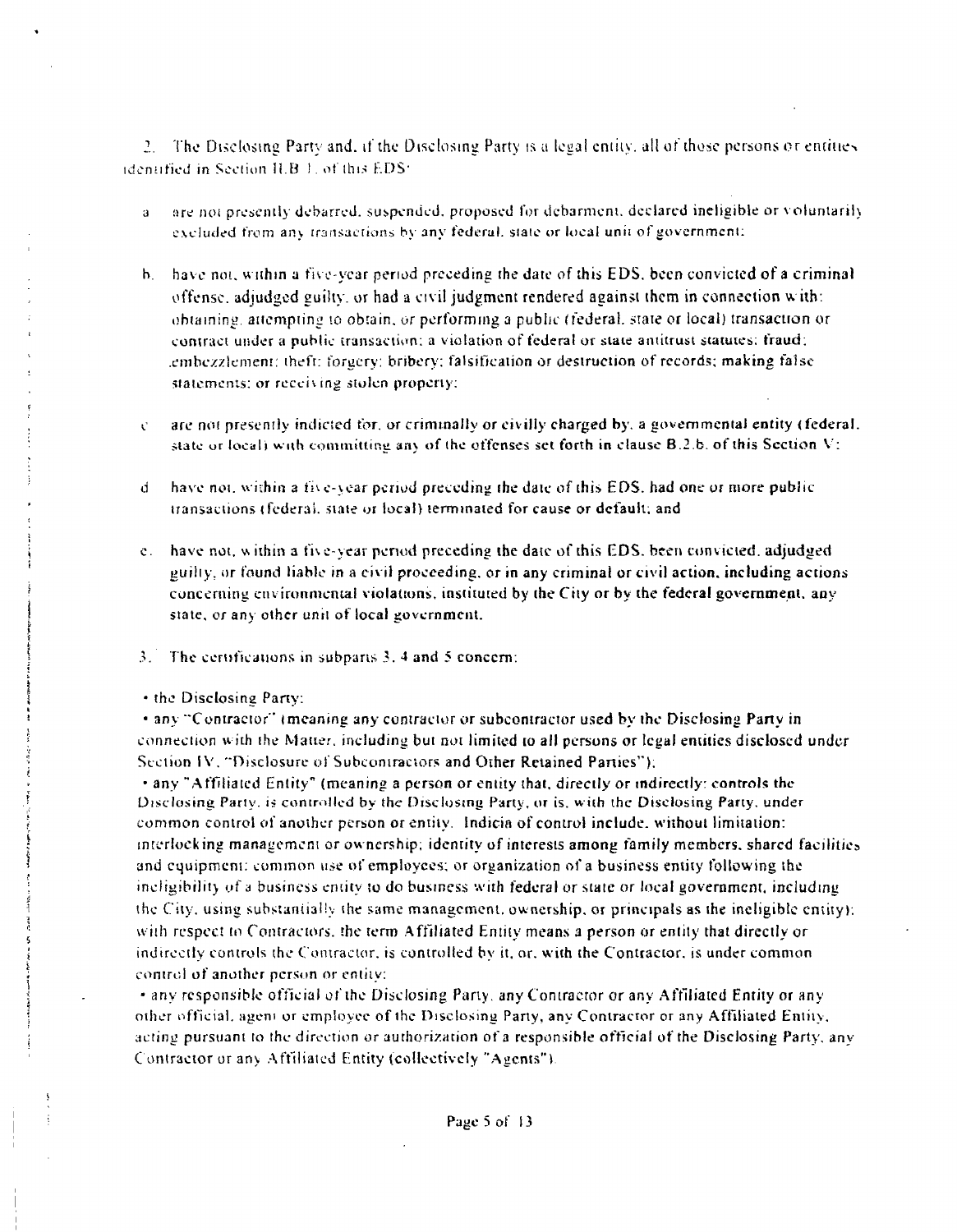2. The Disclosing Party and, if the Disclosing Party is a legal entity, all of those persons or entities identified in Section II.B. Lof this EDS:

- are not presently debarred, suspended, proposed for debarment, declared ineligible or voluntarily  $\mathbf{a}$ excluded from any transactions by any federal, state or local unit of government:
- b. have not, within a five-year period preceding the date of this EDS, been convicted of a criminal offense, adjudged guilty, or had a civil judgment rendered against them in connection with: obtaining, attempting to obtain, or performing a public (federal, state or local) transaction or contract under a public transaction; a violation of federal or state antitrust statutes; fraud; embezzlement: theft: forgery: bribery; falsification or destruction of records; making false statements; or receiving stolen property;
- are not presently indicted for, or criminally or civilly charged by, a governmental entity (federal,  $\mathcal{C}$ state or local) with committing any of the offenses set forth in clause B.2.b. of this Section V:
- have not, within a five-year period preceding the date of this EDS, had one or more public  $d =$ transactions (federal, state or local) terminated for cause or default; and
- e. have not, within a five-year period preceding the date of this EDS, been convicted, adjudged guilty, or found liable in a civil proceeding, or in any criminal or civil action, including actions concerning environmental violations, instituted by the City or by the federal government, any state, or any other unit of local government.
- $3.$  The certifications in subparts  $3.4$  and 5 concern:
- the Disclosing Party:

• any "Contractor" (meaning any contractor or subcontractor used by the Disclosing Party in connection with the Matter, including but not limited to all persons or legal entities disclosed under Section IV, "Disclosure of Subcontractors and Other Retained Parties");

• any "Affiliated Entity" (meaning a person or entity that, directly or indirectly: controls the Disclosing Party, is controlled by the Disclosing Party, or is, with the Disclosing Party, under common control of another person or entity. Indicia of control include, without limitation: interlocking management or ownership; identity of interests among family members, shared facilities and equipment: common use of employees; or organization of a business entity following the ineligibility of a business entity to do business with federal or state or local government, including the City, using substantially the same management, ownership, or principals as the ineligible entity): with respect to Contractors, the term Affiliated Entity means a person or entity that directly or indirectly controls the Contractor, is controlled by it, or, with the Contractor, is under common control of another person or entity;

• any responsible official of the Disclosing Party, any Contractor or any Affiliated Entity or any other official, agent or employee of the Disclosing Party, any Contractor or any Affiliated Entity, acting pursuant to the direction or authorization of a responsible official of the Disclosing Party, any Contractor or any Affiliated Entity (collectively "Agents").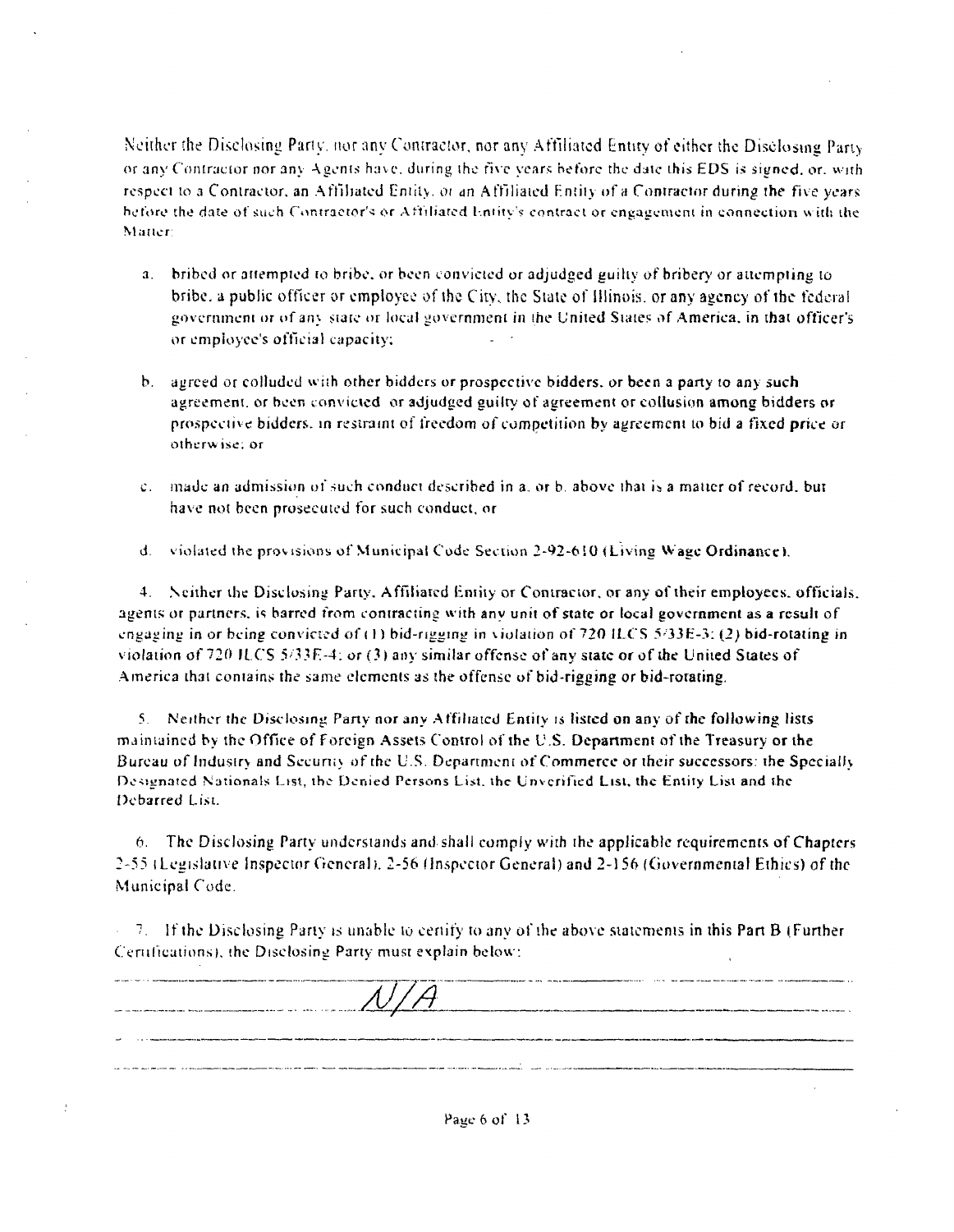Neither the Disclosing Party, nor any Contractor, nor any Affiliated Entity of either the Disclosing Party or any Contractor nor any Agents have, during the five years before the date this EDS is signed, or, with respect to a Contractor, an Affiliated Entity, or an Affiliated Entity of a Contractor during the five years before the date of such Contractor's or Affiliated Entity's contract or engagement in connection with the Matter:

- a. bribed or attempted to bribe, or been convicted or adjudged guilty of bribery or attempting to bribe, a public officer or employee of the City, the State of Illinois, or any agency of the federal government or of any state or local government in the United States of America, in that officer's or employee's official capacity;
- b. agreed or colluded with other bidders or prospective bidders, or been a party to any such agreement, or been convicted or adjudged guilty of agreement or collusion among bidders or prospective bidders, in restraint of freedom of competition by agreement to bid a fixed price or otherwise; or
- c. made an admission of such conduct described in a, or b, above that is a matter of record, but have not been prosecuted for such conduct, or
- d. violated the provisions of Municipal Code Section 2-92-610 (Living Wage Ordinance).

4. Neither the Disclosing Party, Affiliated Entity or Contractor, or any of their employees, officials, agents or partners, is barred from contracting with any unit of state or local government as a result of engaging in or being convicted of (1) bid-rigging in violation of 720 ILCS 5/33E-3; (2) bid-rotating in violation of 720 ILCS 5/33E-4; or (3) any similar offense of any state or of the United States of America that contains the same elements as the offense of bid-rigging or bid-rotating.

5. Neither the Disclosing Party nor any Affiliated Entity is listed on any of the following lists maintained by the Office of Foreign Assets Control of the U.S. Department of the Treasury or the Bureau of Industry and Security of the U.S. Department of Commerce or their successors: the Specially Designated Nationals List, the Denied Persons List, the Unverified List, the Entity List and the Debarred List.

6. The Disclosing Party understands and shall comply with the applicable requirements of Chapters 2-55 (Legislative Inspector General), 2-56 (Inspector General) and 2-156 (Governmental Ethics) of the Municipal Code.

 $\sim$  7. If the Disclosing Party is unable to certify to any of the above statements in this Part B (Further Certifications), the Disclosing Party must explain below:

| N/H<br>The contract contract of the contract of the contract complex and contract contract of |  |
|-----------------------------------------------------------------------------------------------|--|
| -                                                                                             |  |
|                                                                                               |  |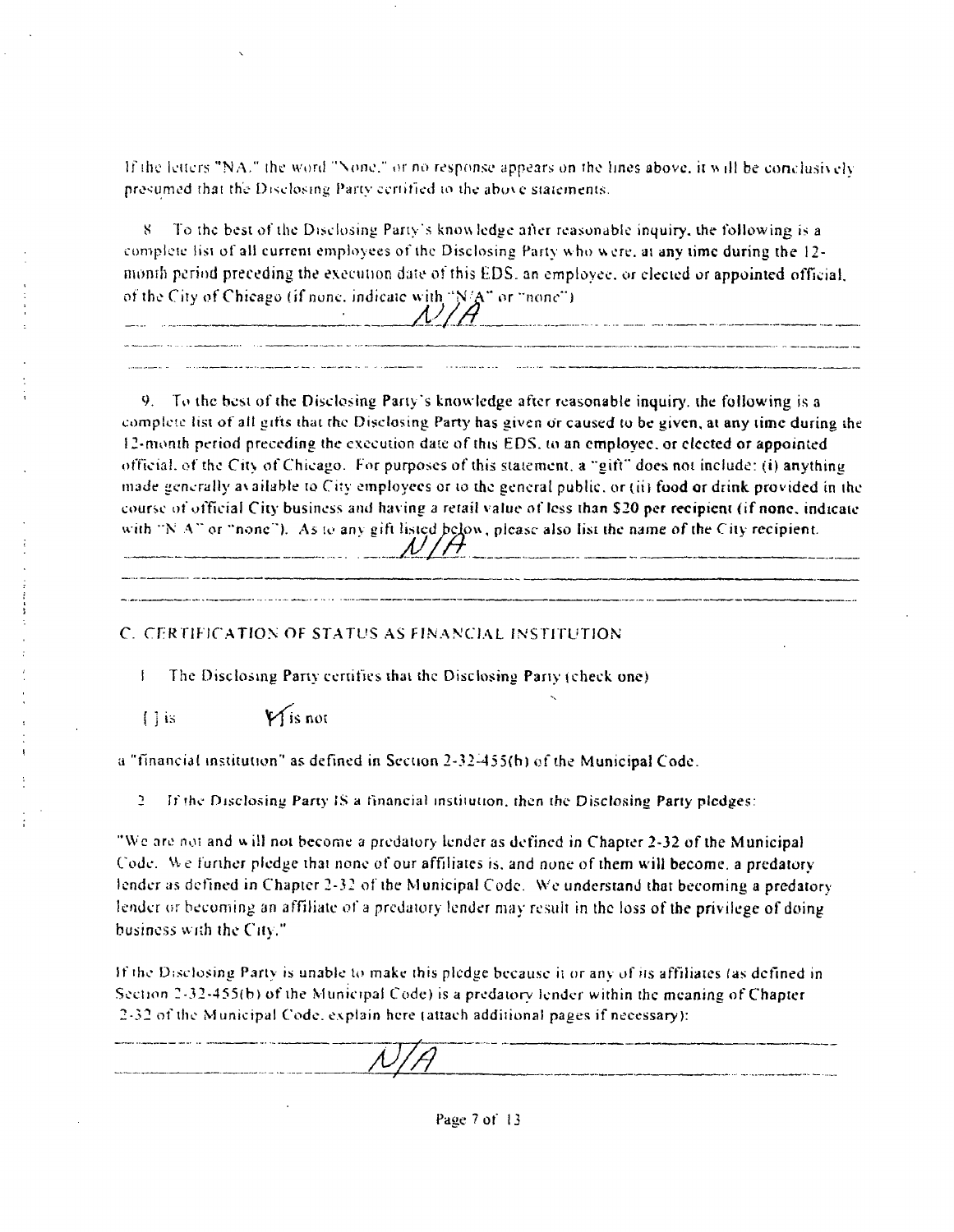If the letters "NA." the word "None." or no response appears on the lines above, it will be conclusively presumed that the Disclosing Pany certified lo the abuve siaicmenis.

S To the best ofthe Disclosing Party's know ledge aller reasonable inquiry, ihe following is a complete list of all current employees of the Disclosing Party who were, at any time during the 12nionih period preceding the execution date of this EDS. an employee, or elected or appointed official, of the City of Chicago (if none, indicate with " $N/A$ " or "none")  $N/H$ 

9. To the best of the Disclosing Party's knowledge after reasonable inquiry, the following is a complete list of all gifts that the Disclosing Party has given or caused to be given, at any time during the 12-month period preceding the execution date of this EDS. to an employee, or elected or appointed official, of the City of Chicago. For purposes of this statement, a "gift" does not include: (i) anything made generally a\ aiiable to City employees or to the general public, or (ii) food or drink provided in the course of ot'ficial City business and having a retail value of less than S20 per recipient (if none, indicate with "N A" or "none"). As to any gift listed below, please also list the name of the City recipient.

### C. CERTIFICATION OF STATUS AS FINANCIAL INSTITUTION

1 The Disclosing Pany certifies ihai the Disclosing Party (check one)

 $\bigcap$  is  $\bigvee$  is not

a "financial institution ' as defined in Section 2-32-455(h) ofthe Municipal Code.

2 If the Disclosing Party IS a financial institution, then the Disclosing Party pledges:

"\Vc are not and w ill not become a predatory lender as defined in Chapter 2-32 ofthe Municipal Code. W e furihcr pledge that none of our affiliates is. and none of them will become, a predatory tender as defined in Chapter 2-32 of the Municipal Code. We understand that becoming a predatory lender or becoming an affiliate of a predatory lender may result in the loss of the privilege of doing business with the City."

If the Disclosing Party is unable to make this pledge because it or any of its affiliates (as defined in Section 2-32-435(b) of ihe Municipal Code) is a predatory lender within the meaning of Chapter 2-32 ofthe Municipal Code, e.vplain here (attach additional pages if necessary):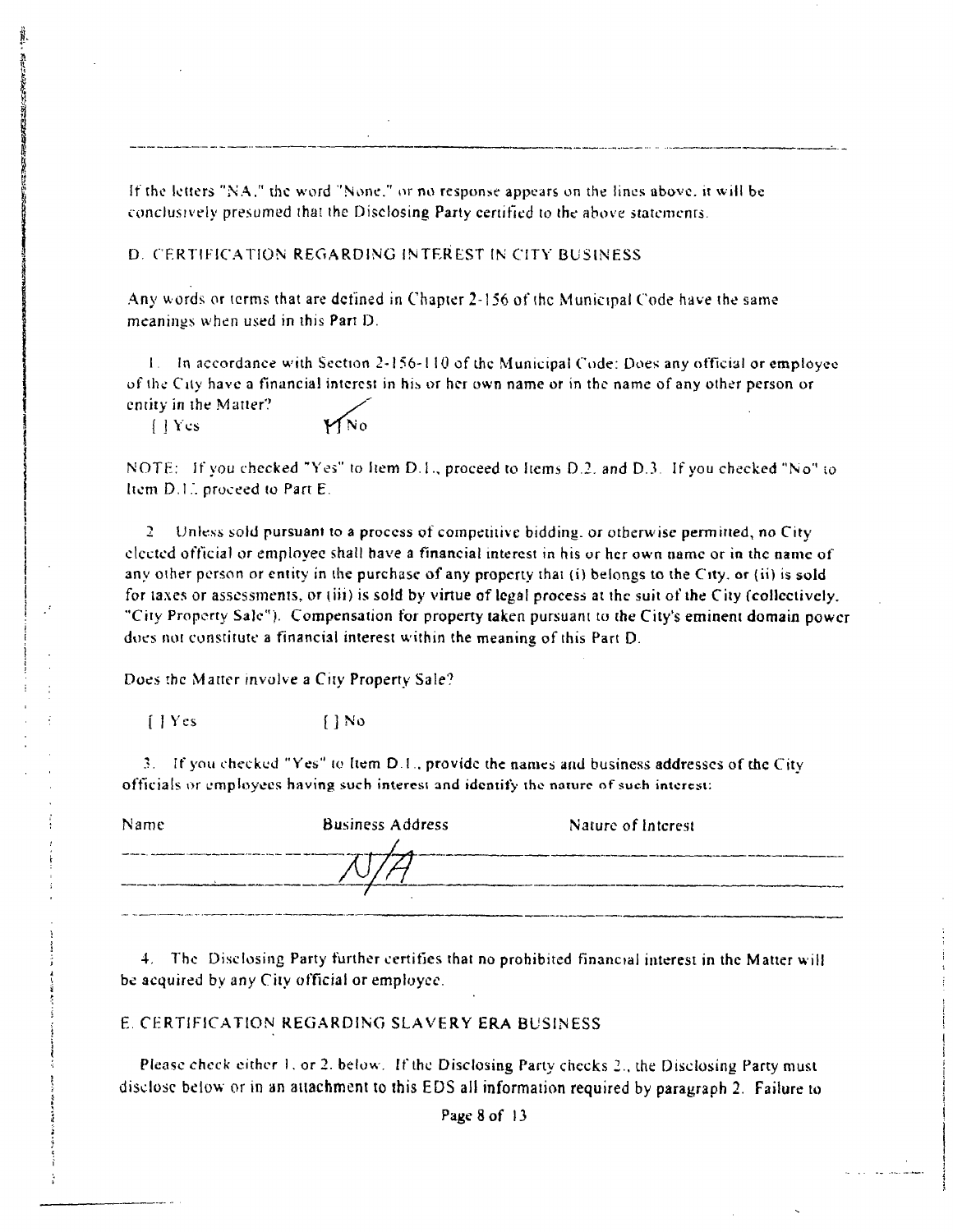If the letters "NA," the word "None." or no response appears on the lines above, it will be conclusively presumed that the Disclosing Party certified to the above statements.

#### D. CERTIFICATION REGARDING INTEREST IN CITY BUSINESS

Any words or terms that are defined in Chapter  $2-156$  of the Municipal Code have the same meanings when used in this Part D.

<sup>I</sup> . In accordance with Section 2-156-1 10 of the Municipal Code; Does any official or employee of the City have a financial interest in his or her own name or in the name of any other person or entity in the Matter?

 $\bigcup Y$ cs  $\bigcup$ No

I

NOTE: If you checked "Yes" to Item D.1., proceed to Items D.2. and D.3. If you checked "No" to Item D.I.". proceed to Part E.

2 Unless sold pursuant to a process of competitive bidding, or otherwise permitted, no City elected official or empioyec shall have a financial interest in his or her own name or in the name of any other person or entity in the purchase of any property that (i) belongs to the City, or (ii) is sold for taxes or assessments, or (iii) is sold by virtue of legal process at the suit of the City (collectively. "City Property Sale"). Compensation for property taken pursuant to the City's eminent domain power does not constitute a financial interest within the meaning of this Part D.

Does the Matter mvolve a City Property Sale?

(lYes {JNo

3. If you checked "Yes" to Item D I . provide the names and business addresses of the City officials or employees having such interest and identify the nature of such interest:

| Name | <b>Business Address</b> | Nature of Interest |
|------|-------------------------|--------------------|
|      |                         |                    |
|      |                         |                    |
|      |                         |                    |

4, The Disclosing Party further certifies that no prohibited financial interest in the Matter will be acquired by any City official or empioyec.

#### E CERTIFICATION REGARDING SLAVERY ERA BUSINESS

Please check either 1. or 2. below. If the Disclosing Party checks 2.. the Disclosing Party must disclose below or in an aiiachment to ihis EDS ail information required by paragraph 2. Failure to

Page 8 of 13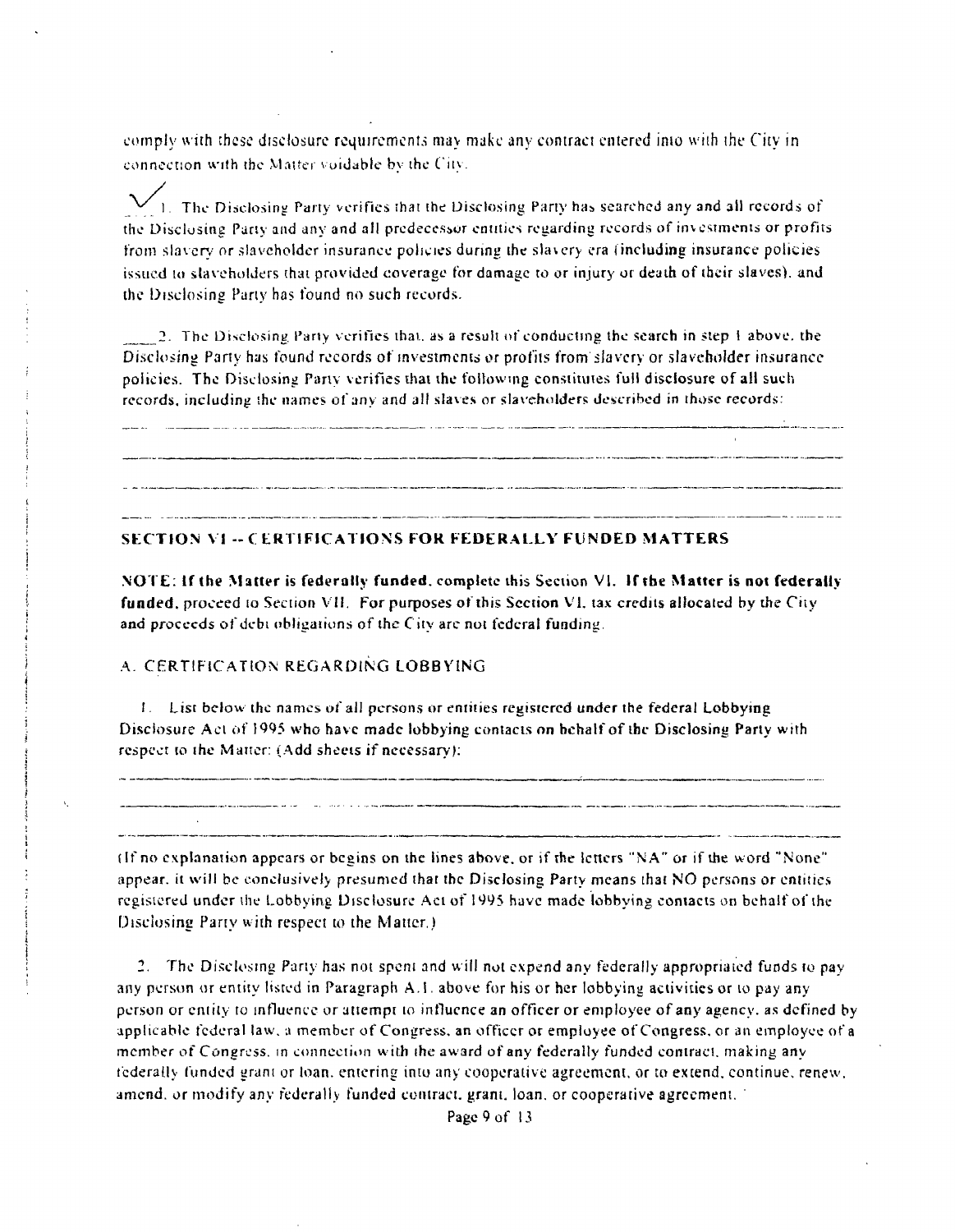comply with these disclosure requirements may make any contract entered into with the City in connection with the Matter vuidable by the City.

1. The Disclosing Party verifies that the Disclosing Party has searched any and all records of the Disclosing Parly and any and all predecessor entities regarding records of investments or profits from slavery or slaveholder insurance policies during the slavery era (including insurance policies issued to slaveholders that provided coverage for damage to or injury or death of their slaves), and the Disclosing Party has found no such records.

2. The Disclosing, Party verifies thai, as a result of conducting the search in step 1 above, the Disclosing Party has found records of investments or profits from slavery or slaveholder insurance policies. The Disclosing Party verifies that the following constitutes full disclosure of all such records, including the names of any and all slaves or slaveholders described in those records;

.<br>Na anglo nga <del>sa kapanga</del>n nasisana ngapapan na pag-agamikan ito ng ngang na ang na ito n<del>agpakapa</del> sa tagang na pa 

#### **SECTION VI -- CERTIFICATIONS FOR FEDERALLY FUNDED MATTERS**

.NOTE; If the Matter is federally funded, complete this Seciion VI. If the Matter is not federally funded, proceed to Section VII. For purposes of this Section VI, tax credits allocated by the City and proceeds of debt obligations of the C ity are not federal funding.

#### A. CERTIFICATION REGARDING LOBBYING

 $I_1$ . List below the names of all persons or entities registered under the federal Lobbying Disclosure Act of 1995 who have made lobbying contacts on behalf of the Disclosing Party with respect to ihe Matter; ( Add sheets if necessary);

 $\label{eq:1} \begin{minipage}{0.9\textwidth} \begin{minipage}{0.9\textwidth} \centering \begin{minipage}{0.9\textwidth} \centering \end{minipage} \begin{minipage}{0.9\textwidth} \centering \begin{minipage}{0.9\textwidth} \centering \end{minipage} \begin{minipage}{0.9\textwidth} \centering \end{minipage} \begin{minipage}{0.9\textwidth} \centering \end{minipage} \begin{minipage}{0.9\textwidth} \centering \end{minipage} \begin{minipage}{0.9\textwidth} \centering \end{minipage} \begin{minipage}{0.9\textwidth} \centering \end{min$ 

.<br>التعاليد بيرون مانيون مكافات مواسطات محمدة الإيروبيليا في و كان الإيروب و تجاوز المجاوز و واستقلابي

(If no explanation appears or begins on the lines above, or if the letters "NA" or if the word "None" appear, it will be conclusively presumed that the Disclosing Party means thai NO persons or entities registered under the Lobbying Disclosure Act of 1995 have made lobbying contacts on behalf of the Disclosing Party with respect to the Matter.)

2. The Disclosing Party has not spent and will not expend any federally appropriated funds to pay any person or entity listed in Paragraph A.!. above for his or her lobbying activities or to pay any person or entity to influence or attempt lo influence an officer or employee of any agency, as defined by applicable federal law, a member of Congress, an officer or employee of Congress, or an employee of a member of Congress, m conneciion with ihe award of any federally funded contract, making any tcderally funded gram or loan, entering into any cooperative agreement, or to extend, continue, renew, amend, or modify any federally funded contract, grant, loan, or cooperative agreement.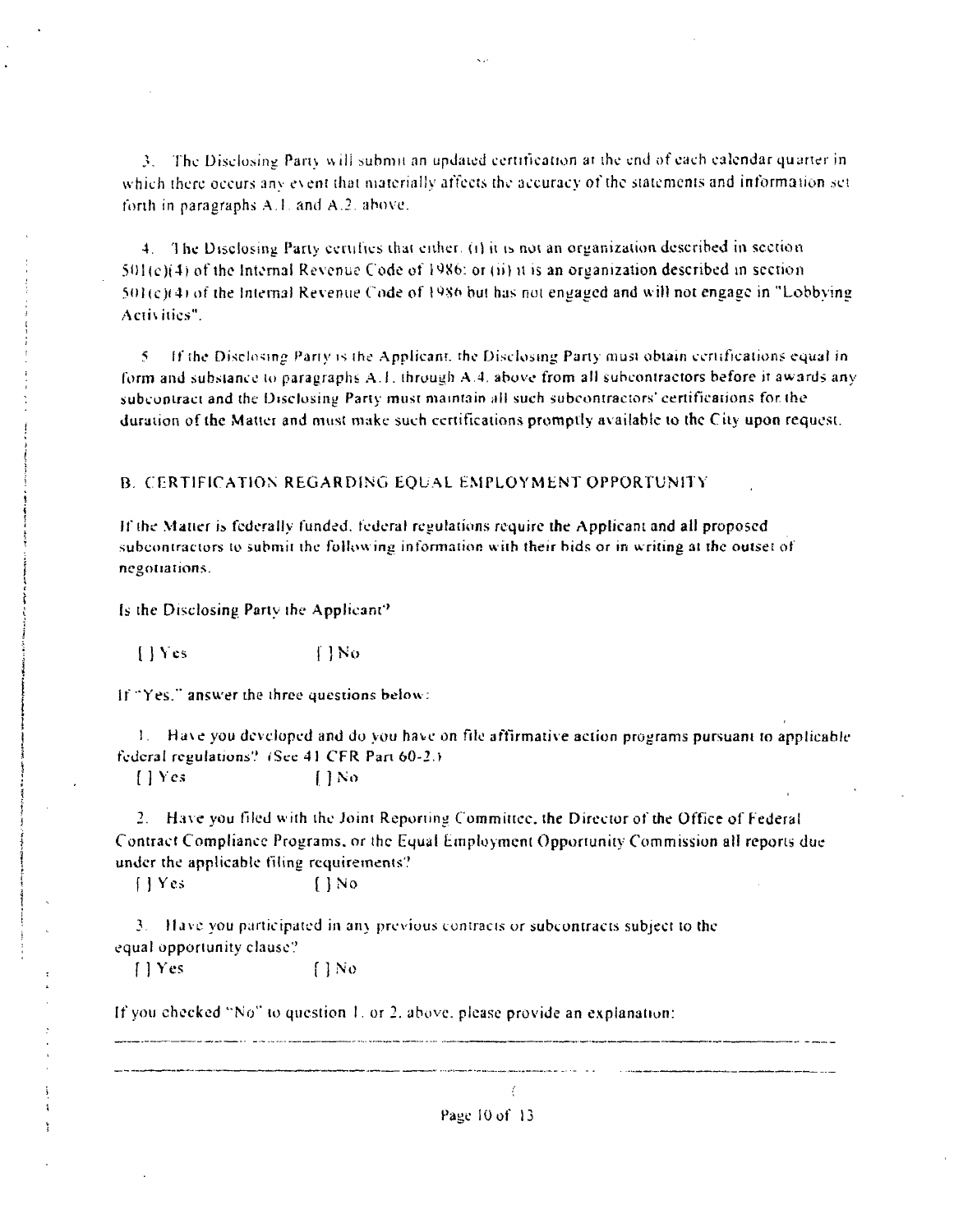3. The Disclosing Party will submit an updated certification at the end of each calendar quarter in which there occurs any event that materially affects the accuracy of the statements and information set forth in paragraphs A.1, and A.2, above.

4. The Disclosing Party certifies that either. (i) it is not an organization described in section  $501(e)(4)$  of the Internal Revenue Code of 1986; or (ii) it is an organization described in section  $501(c)(4)$  of the Internal Revenue Code of 1986 but has not engaged and will not engage in "Lobbving" Activities".

5. If the Disclosing Party is the Applicant, the Disclosing Party must obtain certifications equal in form and substance to paragraphs A.1, through A.4, above from all subcontractors before it awards any subcontract and the Disclosing Party must maintain all such subcontractors' certifications for the duration of the Matter and must make such certifications promptly available to the City upon request.

#### B. CERTIFICATION REGARDING EQUAL EMPLOYMENT OPPORTUNITY

If the Matter is federally funded, federal regulations require the Applicant and all proposed subcontractors to submit the following information with their bids or in writing at the outset of negotiations.

Is the Disclosing Party the Applicant?

 $[$  | Yes  $[$  | No

If "Yes," answer the three questions below:

1. Have you developed and do you have on file affirmative action programs pursuant to applicable federal regulations? (See 41 CFR Part 60-2.)  $1 Yes$  $[$  | No

2. Have you filed with the Joint Reporting Committee, the Director of the Office of Federal Contract Compliance Programs, or the Equal Employment Opportunity Commission all reports due under the applicable filing requirements?

 $\bigcap$  No  $[$  | Yes

3. Have you participated in any previous contracts or subcontracts subject to the equal opportunity clause?

 $[$  | Yes  $\Box$  No

If you checked "No" to question 1, or 2, above, please provide an explanation:

Page 10 of 13

 $\ell$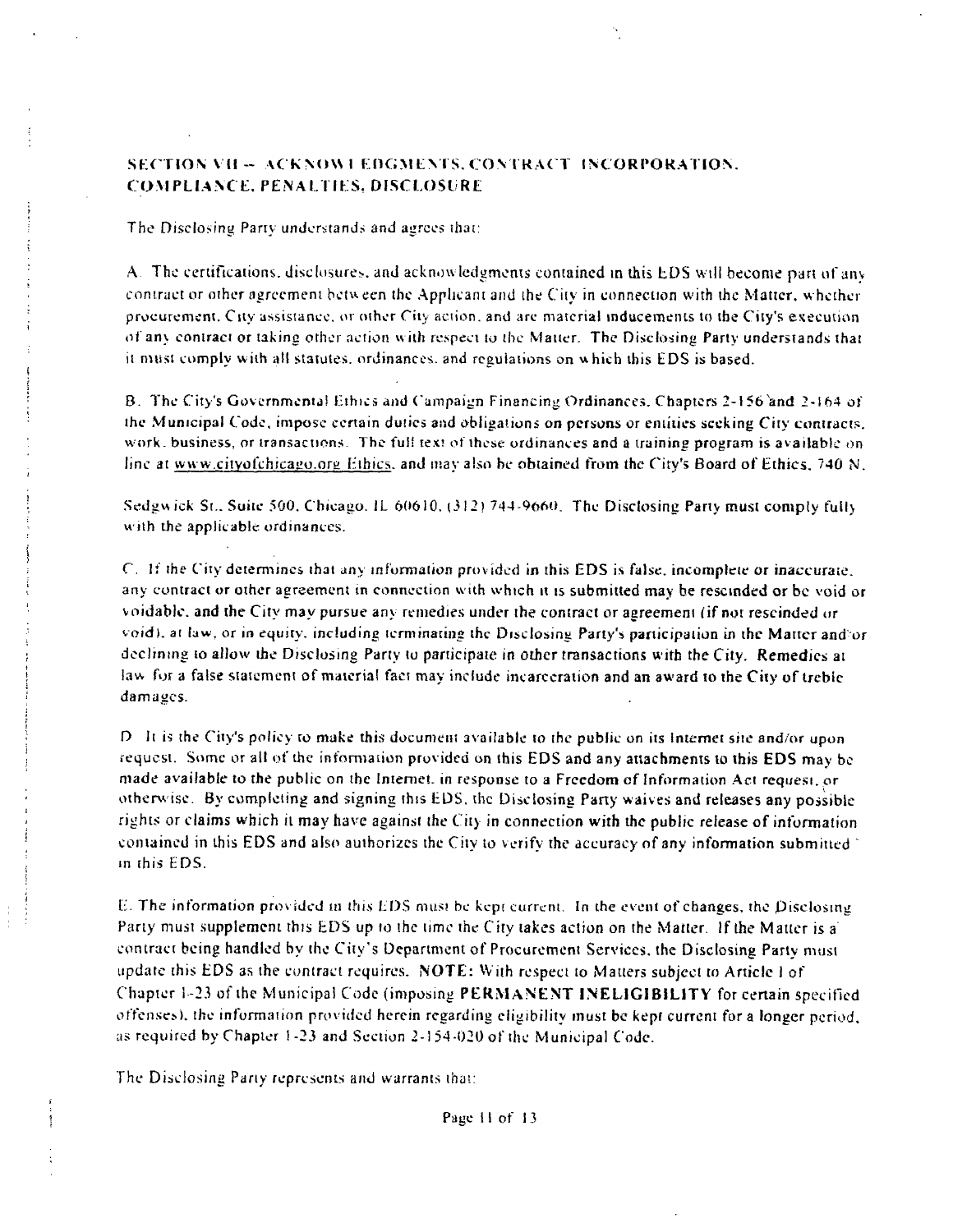### SECTION VII - ACKNOWI EDGMENTS, CONTRACT INCORPORATION. C OMFLLANCE. PENALTIES, DISCLOSURE

The Disclosing Party understands and agrees thai:

A. The certifications, disclosures, and acknowledgments contained in this EDS will become part of any contract or other agreement between the Applicant and the City in connection with the Matter, whether procurement. City assistance, or other City aciion. and are material inducements to the City's execution of any contraci or taking other action with respect to the Matter. The Disclosing Party understands that it must comply with all statutes, ordinances, and regulations on which this EDS is based.

B. The City's Governmental Ethics and Campaign Financing Ordinances. Chapters 2-156'and 2-164 of the Municipal Code, impose certain duties and obligations on persons or cntiiies seeking City contracts, work, business, or transactions. The full text of these ordinances and a training program is available on line at www.cityofchicago.org Ethics, and may also be obtained from the City's Board of Ethics, 740 N.

Sedgwick St., Suite 500, Chicago. IL  $60610$ ,  $(312)$  744-9660. The Disclosing Party must comply fully with the applicable ordinances.

C, If the City determines that any information provided in this EDS is false, incomplete or inaccurate, any contract or other agreement in connection with which it is submitted may be rescinded or be void or voidable, and the City may pursue any remedies under the contract or agreement (if not rescinded or void), at law, or in equity, including terminating the Disclosing Party's participation in the Matter and or declining to allow the Disclosing Party to participate in other transactions with the City. Remedies at law fur a false statement of material fact may include incarceration and an award to the City of treble damages.

 $D$ . It is the City's policy to make this document available to the public on its Internet site and/or upon request. Some or all of the information provided on this EDS and any attachments to this EDS may be made available to the public on the Internet. in response to a Freedom of Information Act request, or otherwise. By completing and signing this EDS. the Disclosing Pany waives and releases any possible rights or claims which il may have against the City in connection with the public release of information contained in this EDS and also authorizes the City to verify the accuracy of any information submitted  $\gamma$ in this FDS.

E. The information pro\ ided in this EDS musi be kepi current. In the event of changes, the Disclosing Party must supplement this EDS up lo the time the City takes action on the Matter. If Ihe Matter is a contract being handled by the City's Department of Procurement Services, the Disclosing Party must update this EDS as the contract requires. NOTE: With respect to Matters subject to Article I of Chapter 1-23 of the Municipal Code (imposing PERMANENT INELIGIBILITY for certain specified offenses), the intbrmaiion provitied herein regarding eligibility must be kept current for a longer period, as required by Chapter !-23 and Section 2-1 54-020 of the Municipal Code.

The Disclosing Pany represents and warrants that;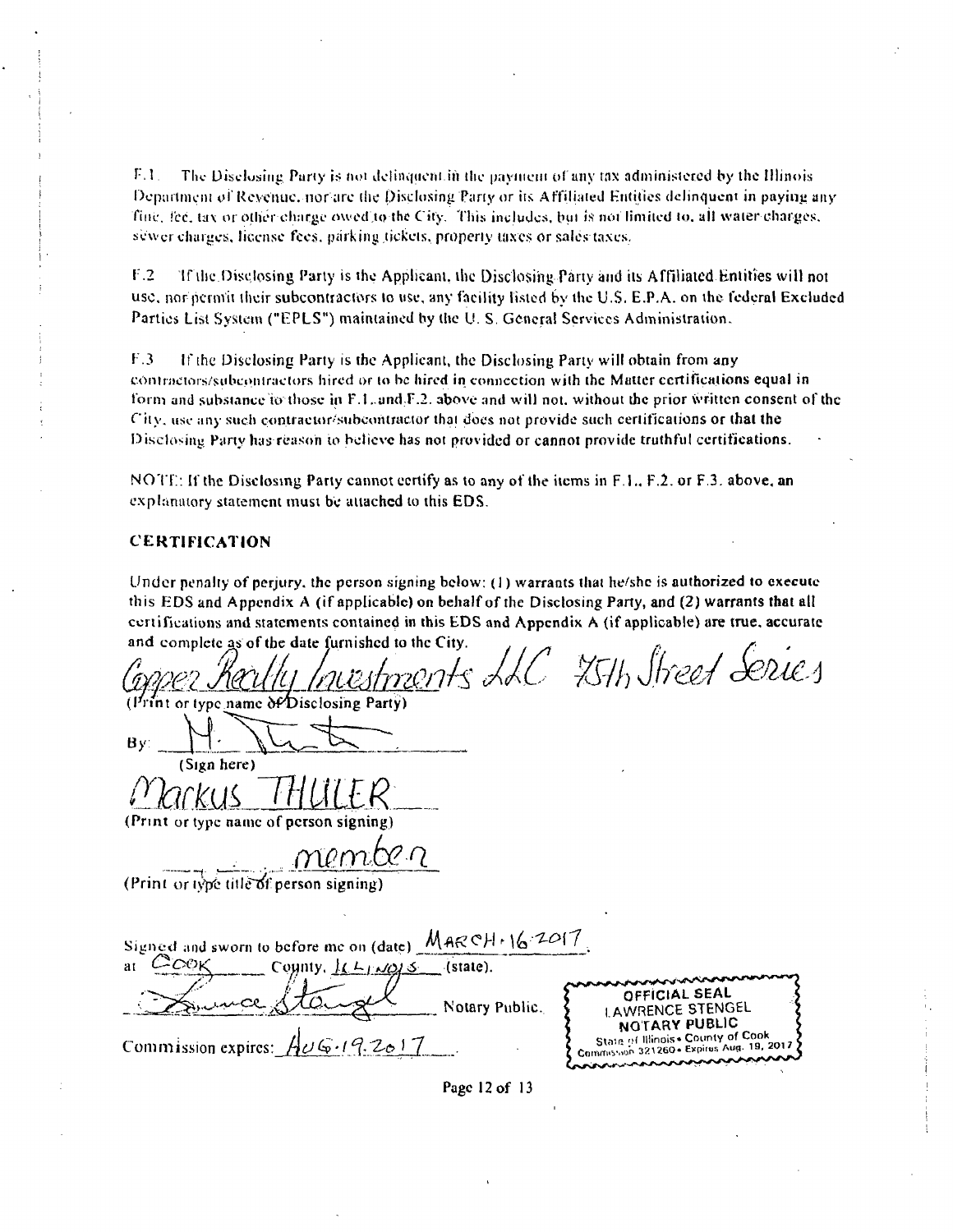$F.1$ . The Disclosing Party is not delinquent in the payment of any tax administered by the Illinois Department of Revenue, nor arc the Disclosing Party or its Affiliated Entities delinquent in paying any fine, fee, tax or other charge owed to the City. This includes, but is not limited to, all water charges, sewer charges, license fees, parking tickets, property taxes or sales taxes.

r.2 If ilie Disclosing Parly is the Applicant, the Disclosing Pany and its Affiliated Entities will not use, nor permit their subcontractors lo use, any facility listed by the U.S. E.P.A. on the ledcral Excluded Parties List System ("EPLS") maintained by the U. S. General Services Administration.

 $F.3$  If the Disclosing Party is the Applicant, the Disclosing Party will obtain from any coninictors.'subeoniraetors hired or lo be hired in connection with the Mutter certifications equal in form and substance to those in F.1, and F.2, above and will not, without the prior written consent of the  $C$ ity, use any such contraetor/subcontractor that does not provide such certifications or that the Disclosing Party has reason to believe has not provided or cannot provide truthful certifications.

NOTE: If the Disclosing Party cannot certify as to any of the items in  $F.1, F.2$ , or  $F.3$ , above, an explanatory statement must be attached to this EDS.

#### CERTIFICATION

Under penalty of perjury, the person signing below:  $(1)$  warrants that he/she is authorized to execute this EDS and Appendix A (if applicable) on behalf of the Disclosing Party, and (2) warrants that all certifications and statements contained in this EDS and Appendix A (if applicable) are true, accurate and complete as of the date furnished to the City.  $\mathbf{r}$ À

| Investments LLC 25th Street Series                                                                                                         |
|--------------------------------------------------------------------------------------------------------------------------------------------|
| (Print or type name of Disclosing Party)                                                                                                   |
| By:                                                                                                                                        |
| (Sign here)                                                                                                                                |
|                                                                                                                                            |
| (Print or type name of person signing)                                                                                                     |
| membe n                                                                                                                                    |
| (Print or type title of person signing)                                                                                                    |
|                                                                                                                                            |
| Signed and sworn to before me on (date) MARCH + 16.2017                                                                                    |
| $C$ COK<br>County, $k \rightarrow \omega$ (state).<br>at                                                                                   |
| OFFICIAL SEAL<br>Notary Public.<br>LAWRENCE STENGEL                                                                                        |
| <b>NOTARY PUBLIC</b><br>State of Illinois . County of Cook<br>6.192017<br>Commission expires:<br>Cammission 321260 - Expires Aug. 19, 2017 |

Page 12 of 13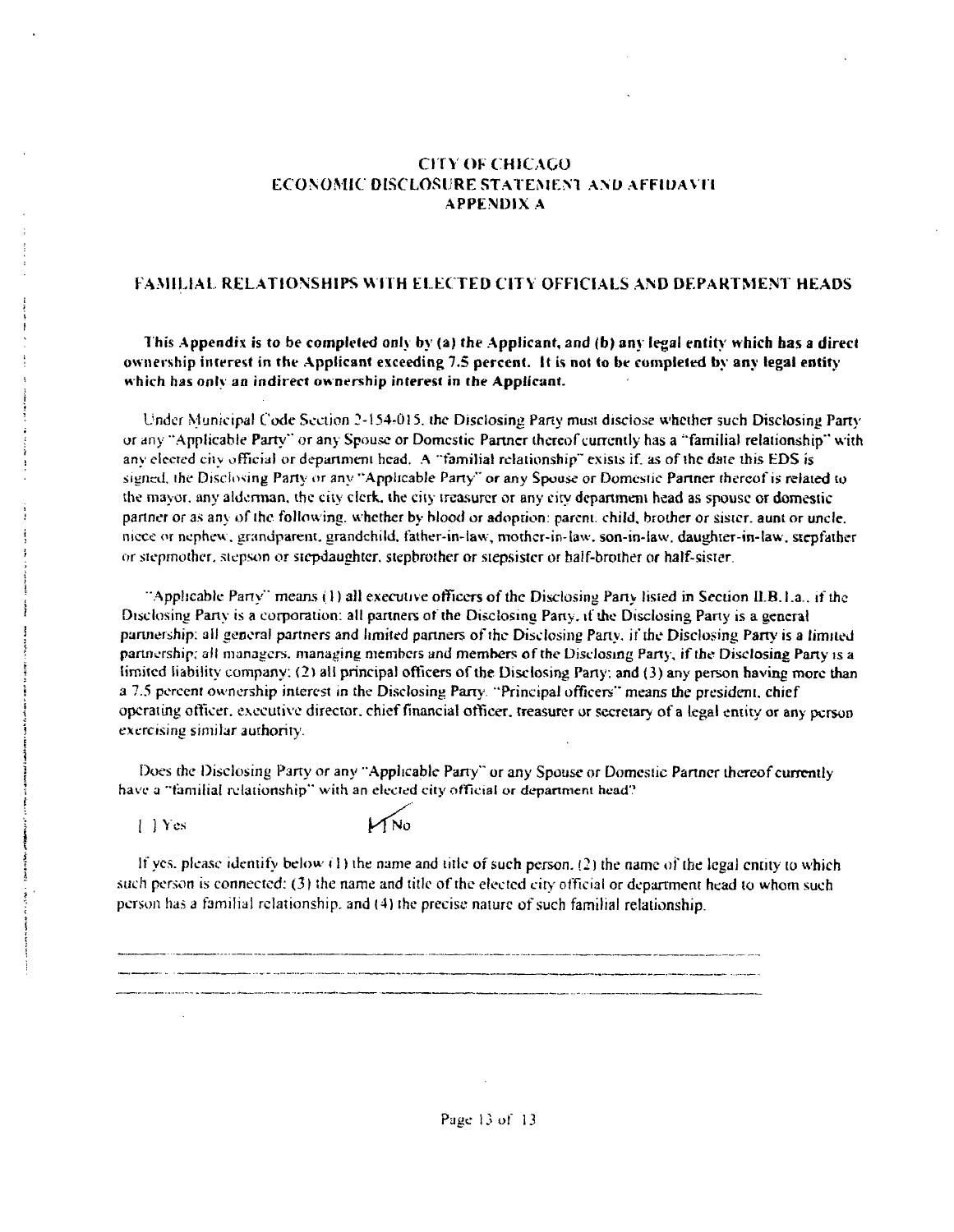#### CITY OF CHICAGO ECONOMIC DISCLOSURE STATEMENT AND AFFIDAVIT APPENDIX A

#### FAMILIAL RELATIONSHIPS W ITH ELECTED CITV OFFICIALS AND DEPARTMENT HEADS

This Appendix is to be completed only by (a) the Applicant, and (b) any legal entity which has a direct ownership interest in the Applicant exceeding 7.5 percent. It is not to be completed by any legal entity which has only an indirect ownership interest in the Applicant.

Under Municipal Code Seciion 2-154r0l5. the Disclosing Pany must disclose whether such Disclosing Party or any "Applicable Party" or any Spouse or Domestic Partner thereof currently has a "familial relationship" with any elected city official or department head. A "familial relationship" exists if, as of the date this EDS is signed, ihe Disclosing Party or any "Applicable Pany" or any Spouse or Domestic Partner thereof is related to the mayor, any aldennan. the city clerk, the city treasurer or any city dcpartineni head as spouse or domestic panner or as any of the following, whether by blood or adoption; parent, child, brother or sister, aunt or uncle, niece or nephew, grandparent, grandchild, father-in-law, mother-in-law, son-in-law, daughter-in-law, stepfather or stepmother, stepson or stepdaughter, stepbrother or stepsister or half-brother or half-sister.

"Applicable Party" means  $(1)$  all executive officers of the Disclosing Party listed in Section ILB.1.a.. if the Disclosing Party is a corporation: all partners of the Disclosing Pany, if the Disclosing Party is a general partnership: all general partners and limited partners ofthe Disclosing Pany. if the Disclosing Party is a limited partnership, alt managers, managing members and members of the Disclosing Pany , if the Disclosing Party is a limited liability company; (2) all principal officers of the Disclosing Party; and (3) any person having more than a 7.5 percent ownership interest in the Disclosing Party. "Principal officers" means the president, chief operating otTicer, executive director, chief financial ofticer. treasurer or secretary of a legal entity or any person exercising similar authority.

Does the Disclosing Party or any "Applicable Party" or any Spouse or Domestic Partner thereof currently have a "familial relationship" with an elected city official or department head?

*[ j V es ^yfNo* 

If yes, please identify below (1) the name and title of such person. (2) the name of the legal entity to which such person is connected; (3) the name and title of the elected city official or department head to whom such person ha.s a familial relationship, and (4) the precise nature of such familial relationship.